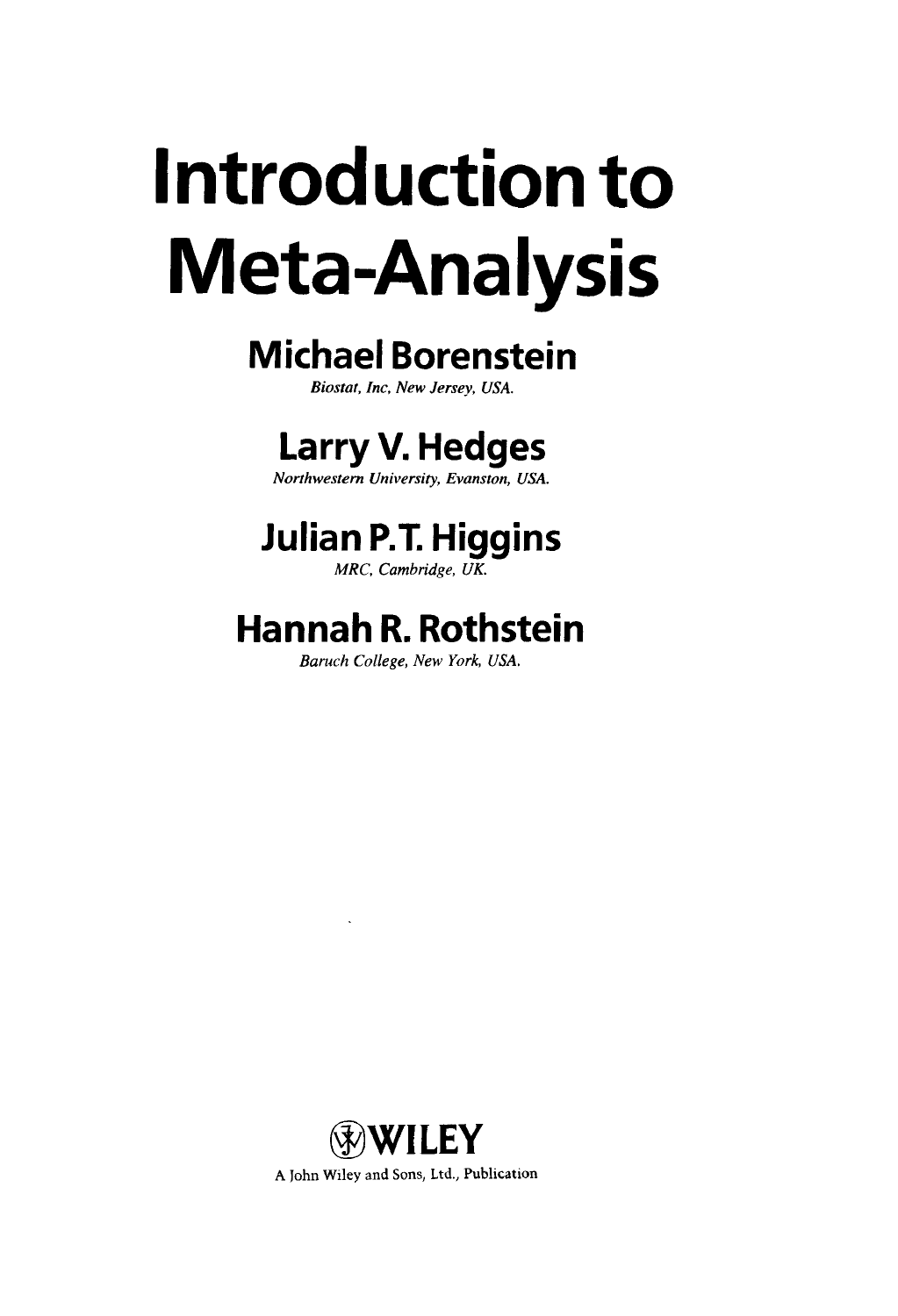# **Introduction to Meta-Analysis**

### **Michael Borenstein**

*Biostat, Inc, New Jersey, USA.*

## **Larry V. Hedges**

*Northwestern University, Evanston, USA.*

# **Julian P.T. Higgins**

*MRC, Cambridge, UK.*

## **Hannah R. Rothstein**

*Baruch College, New York, USA.*

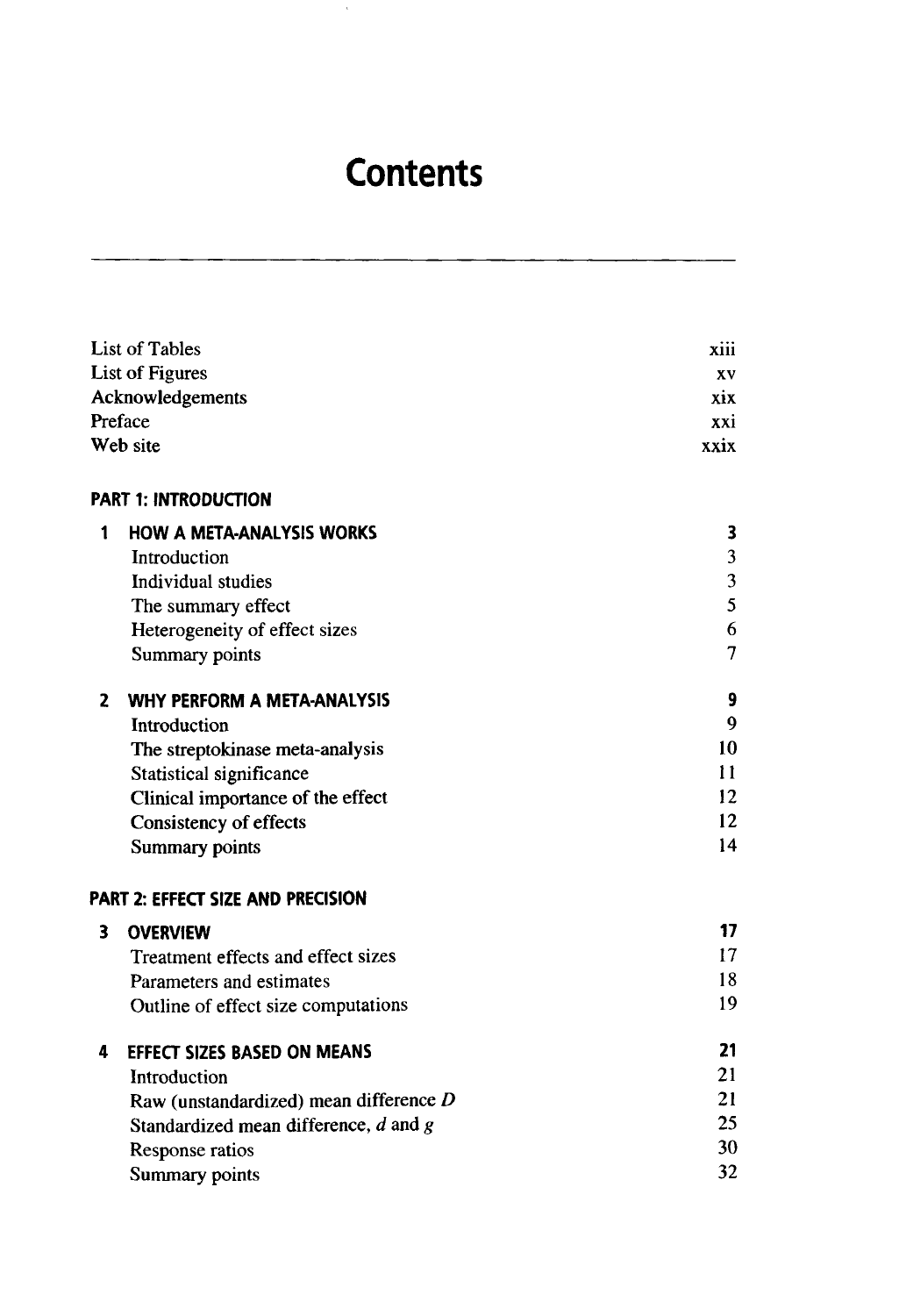#### **Contents**

 $\alpha$ 

|   | List of Tables                            | xiii |
|---|-------------------------------------------|------|
|   | <b>List of Figures</b>                    | XV   |
|   | Acknowledgements                          | xix  |
|   | Preface                                   | xxi  |
|   | Web site                                  | xxix |
|   | <b>PART 1: INTRODUCTION</b>               |      |
| 1 | <b>HOW A META-ANALYSIS WORKS</b>          | 3    |
|   | Introduction                              | 3    |
|   | Individual studies                        | 3    |
|   | The summary effect                        | 5    |
|   | Heterogeneity of effect sizes             | 6    |
|   | Summary points                            | 7    |
| 2 | WHY PERFORM A META-ANALYSIS               | 9    |
|   | Introduction                              | 9    |
|   | The streptokinase meta-analysis           | 10   |
|   | Statistical significance                  | 11   |
|   | Clinical importance of the effect         | 12   |
|   | <b>Consistency of effects</b>             | 12   |
|   | <b>Summary points</b>                     | 14   |
|   | PART 2: EFFECT SIZE AND PRECISION         |      |
| 3 | <b>OVERVIEW</b>                           | 17   |
|   | Treatment effects and effect sizes        | 17   |
|   | Parameters and estimates                  | 18   |
|   | Outline of effect size computations       | 19   |
| 4 | <b>EFFECT SIZES BASED ON MEANS</b>        | 21   |
|   | Introduction                              | 21   |
|   | Raw (unstandardized) mean difference D    | 21   |
|   | Standardized mean difference, $d$ and $g$ | 25   |
|   | Response ratios                           | 30   |
|   | Summary points                            | 32   |
|   |                                           |      |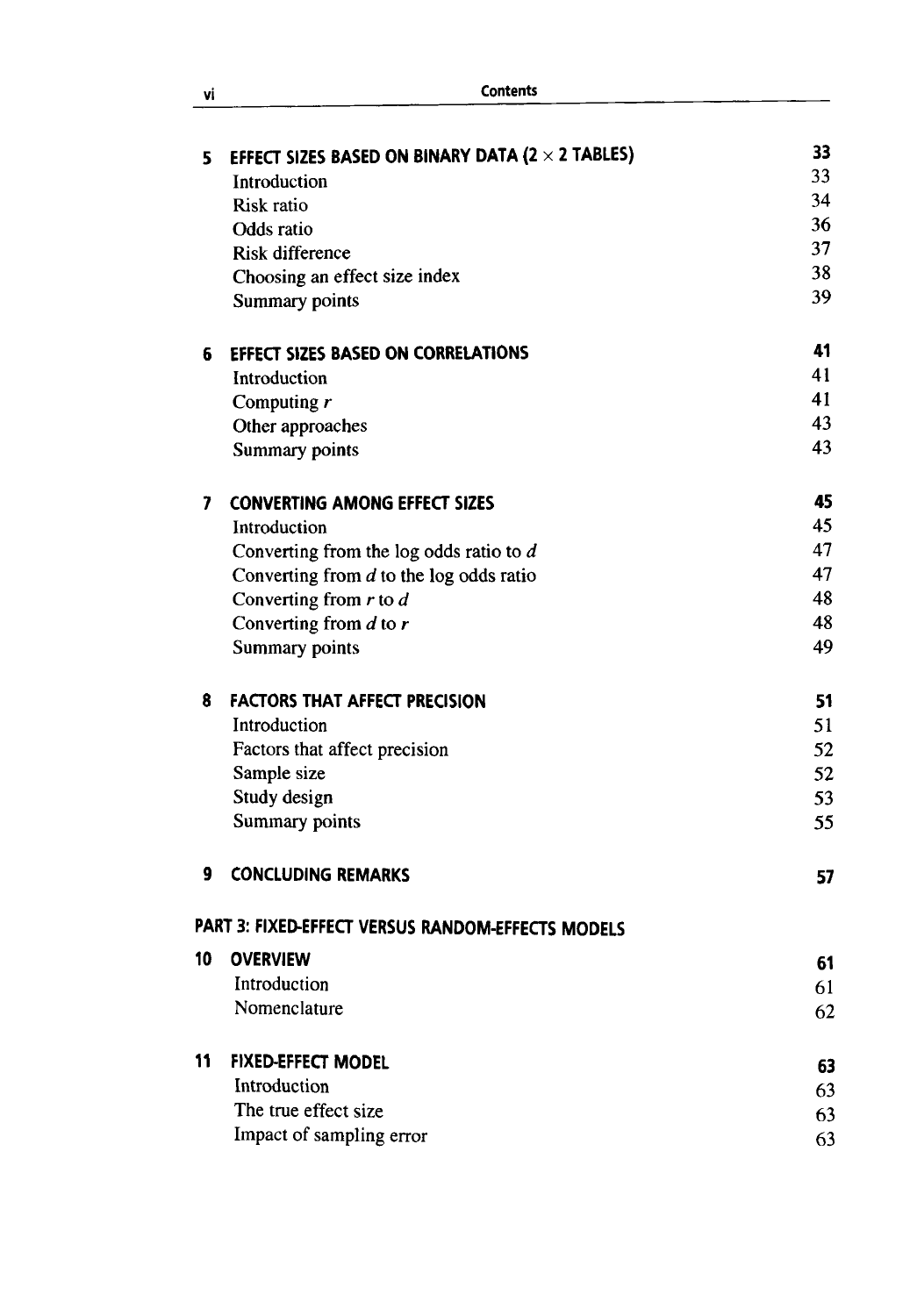| vi | <b>Contents</b> |
|----|-----------------|
|    |                 |

| 5  | EFFECT SIZES BASED ON BINARY DATA (2 $\times$ 2 TABLES) | 33 |
|----|---------------------------------------------------------|----|
|    | Introduction                                            | 33 |
|    | Risk ratio                                              | 34 |
|    | Odds ratio                                              | 36 |
|    | <b>Risk difference</b>                                  | 37 |
|    | Choosing an effect size index                           | 38 |
|    | Summary points                                          | 39 |
| 6  | EFFECT SIZES BASED ON CORRELATIONS                      | 41 |
|    | Introduction                                            | 41 |
|    | Computing $r$                                           | 41 |
|    | Other approaches                                        | 43 |
|    | Summary points                                          | 43 |
| 7  | <b>CONVERTING AMONG EFFECT SIZES</b>                    | 45 |
|    | Introduction                                            | 45 |
|    | Converting from the log odds ratio to $d$               | 47 |
|    | Converting from $d$ to the log odds ratio               | 47 |
|    | Converting from $r$ to $d$                              | 48 |
|    | Converting from $d$ to $r$                              | 48 |
|    | <b>Summary points</b>                                   | 49 |
| 8  | <b>FACTORS THAT AFFECT PRECISION</b>                    | 51 |
|    | Introduction                                            | 51 |
|    | Factors that affect precision                           | 52 |
|    | Sample size                                             | 52 |
|    | Study design                                            | 53 |
|    | Summary points                                          | 55 |
| 9  | <b>CONCLUDING REMARKS</b>                               | 57 |
|    | PART 3: FIXED-EFFECT VERSUS RANDOM-EFFECTS MODELS       |    |
| 10 | <b>OVERVIEW</b>                                         | 61 |
|    | Introduction                                            | 61 |
|    | Nomenclature                                            | 62 |
| 11 | <b>FIXED-EFFECT MODEL</b>                               | 63 |
|    | Introduction                                            | 63 |
|    | The true effect size                                    | 63 |
|    | Impact of sampling error                                | 63 |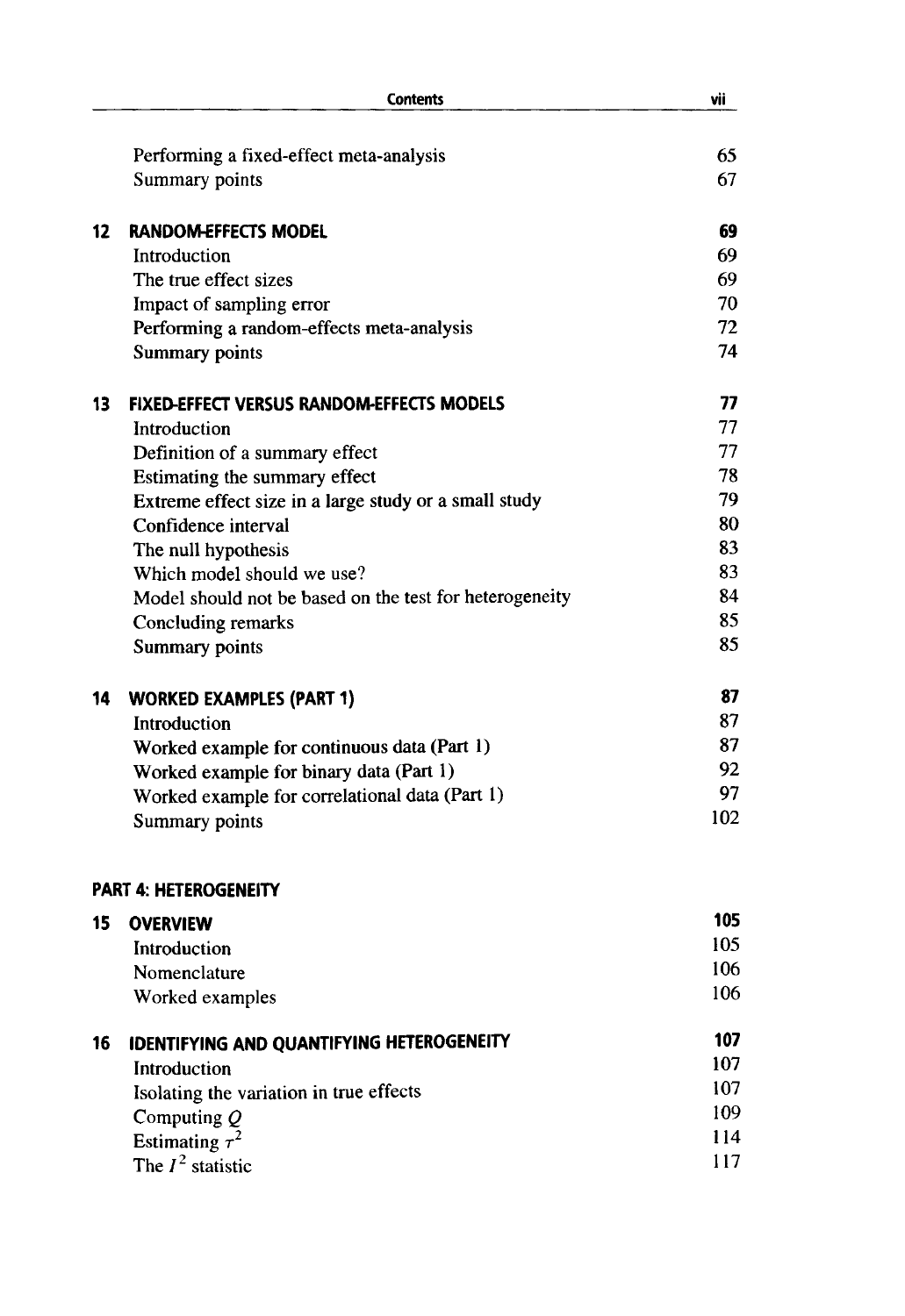|    | <b>Contents</b>                                         | vii |
|----|---------------------------------------------------------|-----|
|    | Performing a fixed-effect meta-analysis                 | 65  |
|    | Summary points                                          | 67  |
| 12 | <b>RANDOM-EFFECTS MODEL</b>                             | 69  |
|    | Introduction                                            | 69  |
|    | The true effect sizes                                   | 69  |
|    | Impact of sampling error                                | 70  |
|    | Performing a random-effects meta-analysis               | 72  |
|    | <b>Summary points</b>                                   | 74  |
| 13 | <b>FIXED-EFFECT VERSUS RANDOM-EFFECTS MODELS</b>        | 77  |
|    | Introduction                                            | 77  |
|    | Definition of a summary effect                          | 77  |
|    | Estimating the summary effect                           | 78  |
|    | Extreme effect size in a large study or a small study   | 79  |
|    | Confidence interval                                     | 80  |
|    | The null hypothesis                                     | 83  |
|    | Which model should we use?                              | 83  |
|    | Model should not be based on the test for heterogeneity | 84  |
|    | Concluding remarks                                      | 85  |
|    | <b>Summary points</b>                                   | 85  |
| 14 | <b>WORKED EXAMPLES (PART 1)</b>                         | 87  |
|    | Introduction                                            | 87  |
|    | Worked example for continuous data (Part 1)             | 87  |
|    | Worked example for binary data (Part 1)                 | 92  |
|    | Worked example for correlational data (Part 1)          | 97  |
|    | Summary points                                          | 102 |
|    | <b>PART 4: HETEROGENEITY</b>                            |     |
| 15 | <b>OVERVIEW</b>                                         | 105 |
|    | Introduction                                            | 105 |
|    | Nomenclature                                            | 106 |
|    | Worked examples                                         | 106 |
| 16 | IDENTIFYING AND QUANTIFYING HETEROGENEITY               | 107 |
|    | Introduction                                            | 107 |
|    | Isolating the variation in true effects                 | 107 |
|    | Computing $Q$                                           | 109 |
|    | Estimating $\tau^2$                                     | 114 |
|    | The $I^2$ statistic                                     | 117 |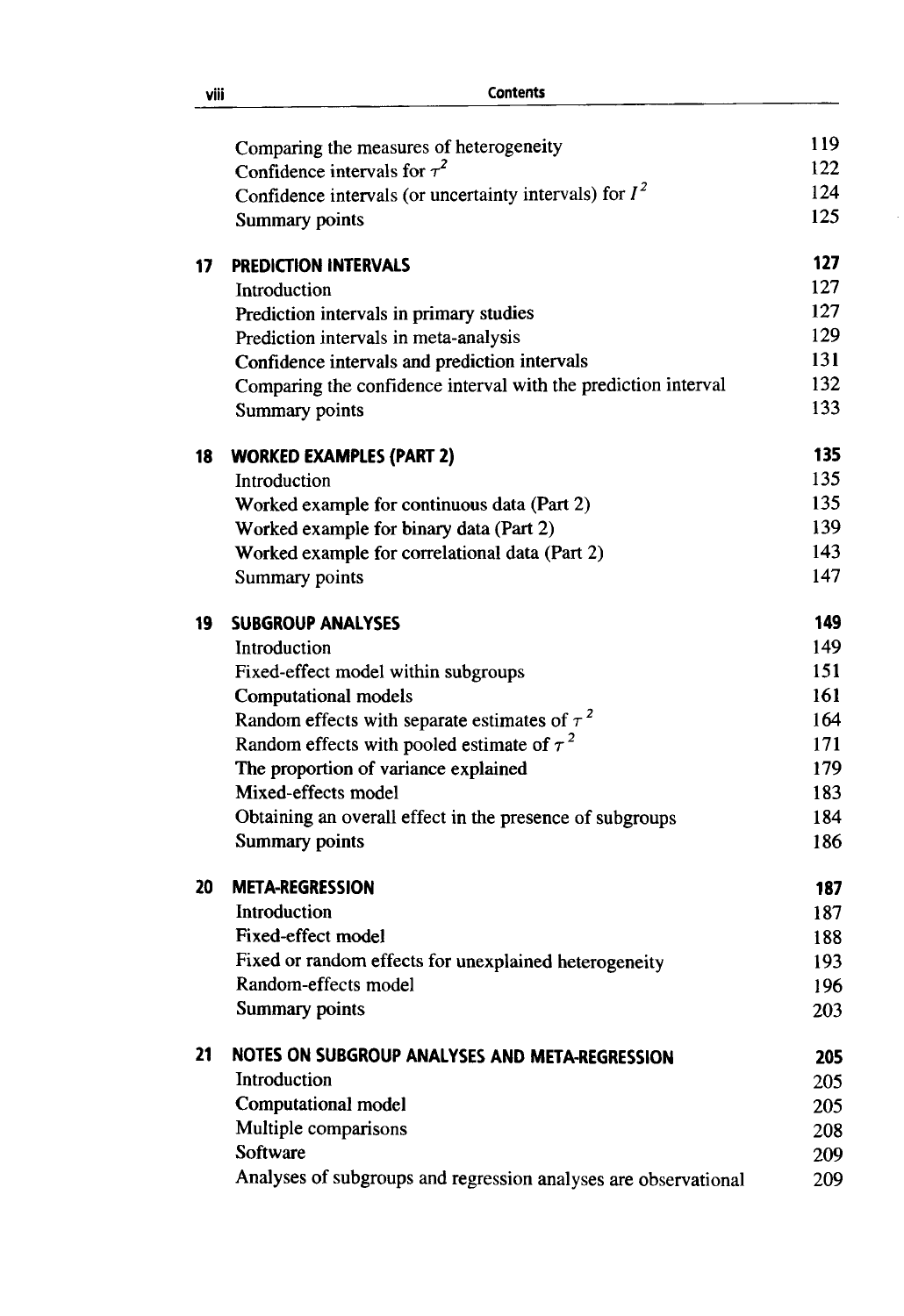|    | Comparing the measures of heterogeneity                         | 119 |
|----|-----------------------------------------------------------------|-----|
|    | Confidence intervals for $\tau^2$                               | 122 |
|    | Confidence intervals (or uncertainty intervals) for $I^2$       | 124 |
|    | <b>Summary points</b>                                           | 125 |
| 17 | <b>PREDICTION INTERVALS</b>                                     | 127 |
|    | Introduction                                                    | 127 |
|    | Prediction intervals in primary studies                         | 127 |
|    | Prediction intervals in meta-analysis                           | 129 |
|    | Confidence intervals and prediction intervals                   | 131 |
|    | Comparing the confidence interval with the prediction interval  | 132 |
|    | Summary points                                                  | 133 |
| 18 | <b>WORKED EXAMPLES (PART 2)</b>                                 | 135 |
|    | Introduction                                                    | 135 |
|    | Worked example for continuous data (Part 2)                     | 135 |
|    | Worked example for binary data (Part 2)                         | 139 |
|    | Worked example for correlational data (Part 2)                  | 143 |
|    | Summary points                                                  | 147 |
| 19 | <b>SUBGROUP ANALYSES</b>                                        | 149 |
|    | Introduction                                                    | 149 |
|    | Fixed-effect model within subgroups                             | 151 |
|    | <b>Computational models</b>                                     | 161 |
|    | Random effects with separate estimates of $\tau^2$              | 164 |
|    | Random effects with pooled estimate of $\tau^2$                 | 171 |
|    | The proportion of variance explained                            | 179 |
|    | Mixed-effects model                                             | 183 |
|    | Obtaining an overall effect in the presence of subgroups        | 184 |
|    | <b>Summary points</b>                                           | 186 |
| 20 | <b>META-REGRESSION</b>                                          | 187 |
|    | Introduction                                                    | 187 |
|    | Fixed-effect model                                              | 188 |
|    | Fixed or random effects for unexplained heterogeneity           | 193 |
|    | Random-effects model                                            | 196 |
|    | <b>Summary points</b>                                           | 203 |
| 21 | NOTES ON SUBGROUP ANALYSES AND META-REGRESSION                  | 205 |
|    | Introduction                                                    | 205 |
|    | <b>Computational model</b>                                      | 205 |
|    | Multiple comparisons                                            | 208 |
|    | Software                                                        | 209 |
|    | Analyses of subgroups and regression analyses are observational | 209 |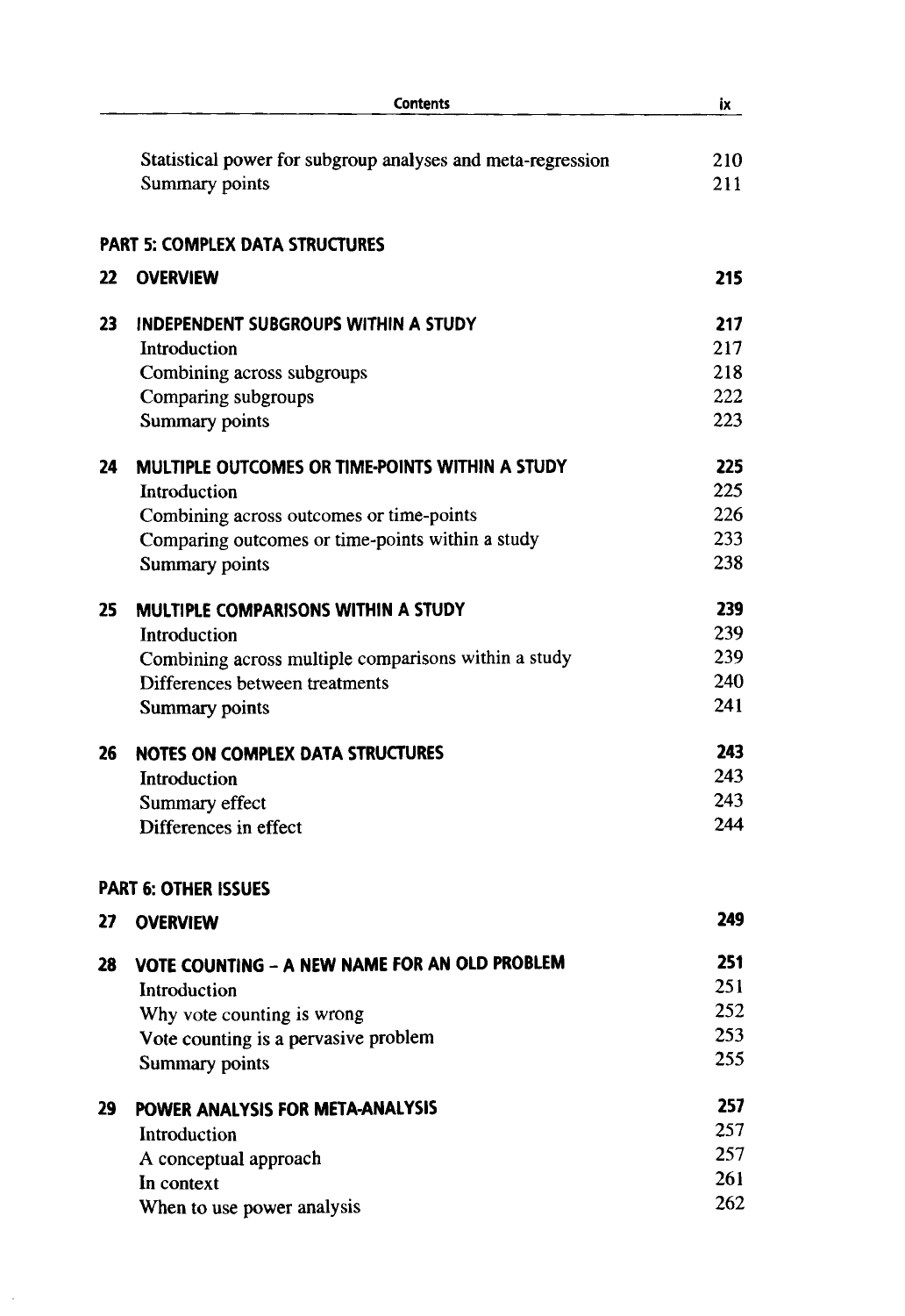|    | <b>Contents</b>                                             | ix  |
|----|-------------------------------------------------------------|-----|
|    | Statistical power for subgroup analyses and meta-regression | 210 |
|    | Summary points                                              | 211 |
|    | <b>PART 5: COMPLEX DATA STRUCTURES</b>                      |     |
| 22 | <b>OVERVIEW</b>                                             | 215 |
| 23 | INDEPENDENT SUBGROUPS WITHIN A STUDY                        | 217 |
|    | Introduction                                                | 217 |
|    | Combining across subgroups                                  | 218 |
|    | Comparing subgroups                                         | 222 |
|    | Summary points                                              | 223 |
| 24 | MULTIPLE OUTCOMES OR TIME-POINTS WITHIN A STUDY             | 225 |
|    | Introduction                                                | 225 |
|    | Combining across outcomes or time-points                    | 226 |
|    | Comparing outcomes or time-points within a study            | 233 |
|    | Summary points                                              | 238 |
| 25 | <b>MULTIPLE COMPARISONS WITHIN A STUDY</b>                  | 239 |
|    | Introduction                                                | 239 |
|    | Combining across multiple comparisons within a study        | 239 |
|    | Differences between treatments                              | 240 |
|    | <b>Summary points</b>                                       | 241 |
| 26 | <b>NOTES ON COMPLEX DATA STRUCTURES</b>                     | 243 |
|    | Introduction                                                | 243 |
|    | Summary effect                                              | 243 |
|    | Differences in effect                                       | 244 |
|    | <b>PART 6: OTHER ISSUES</b>                                 |     |
| 27 | <b>OVERVIEW</b>                                             | 249 |
| 28 | VOTE COUNTING - A NEW NAME FOR AN OLD PROBLEM               | 251 |
|    | Introduction                                                | 251 |
|    | Why vote counting is wrong                                  | 252 |
|    | Vote counting is a pervasive problem                        | 253 |
|    | <b>Summary points</b>                                       | 255 |
| 29 | POWER ANALYSIS FOR META-ANALYSIS                            | 257 |
|    | Introduction                                                | 257 |
|    | A conceptual approach                                       | 257 |
|    | In context                                                  | 261 |
|    | When to use power analysis                                  | 262 |
|    |                                                             |     |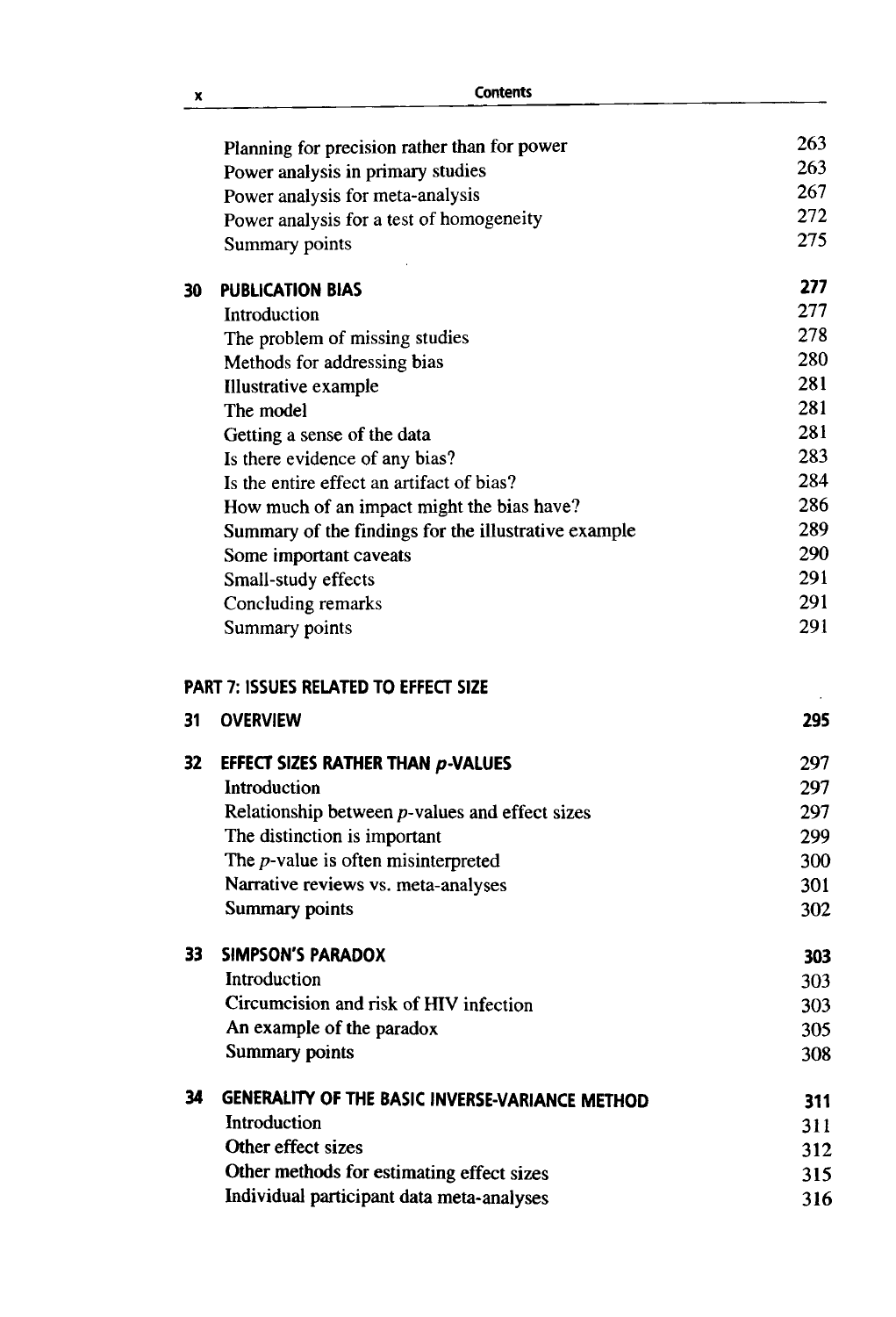|     | <b>Contents</b>                                      |                                                                                                |
|-----|------------------------------------------------------|------------------------------------------------------------------------------------------------|
|     | Planning for precision rather than for power         | 263                                                                                            |
|     | Power analysis in primary studies                    | 263                                                                                            |
|     | Power analysis for meta-analysis                     | 267                                                                                            |
|     | Power analysis for a test of homogeneity             | 272                                                                                            |
|     | Summary points                                       | 275                                                                                            |
| 30  | <b>PUBLICATION BIAS</b>                              | 277                                                                                            |
|     | Introduction                                         | 277                                                                                            |
|     | The problem of missing studies                       | 278                                                                                            |
|     | Methods for addressing bias                          | 280                                                                                            |
|     | <b>Illustrative example</b>                          | 281                                                                                            |
|     | The model                                            | 281                                                                                            |
|     | Getting a sense of the data                          | 281                                                                                            |
|     | Is there evidence of any bias?                       | 283                                                                                            |
|     | Is the entire effect an artifact of bias?            | 284                                                                                            |
|     | How much of an impact might the bias have?           | 286                                                                                            |
|     | Summary of the findings for the illustrative example | 289                                                                                            |
|     | Some important caveats                               | 290                                                                                            |
|     | Small-study effects                                  | 291                                                                                            |
|     | Concluding remarks                                   | 291                                                                                            |
|     | Summary points                                       | 291                                                                                            |
|     | <b>PART 7: ISSUES RELATED TO EFFECT SIZE</b>         |                                                                                                |
| 31  | <b>OVERVIEW</b>                                      |                                                                                                |
|     |                                                      |                                                                                                |
| 32  | <b>EFFECT SIZES RATHER THAN p-VALUES</b>             |                                                                                                |
|     | Introduction                                         |                                                                                                |
|     | Relationship between $p$ -values and effect sizes    |                                                                                                |
|     | The distinction is important                         |                                                                                                |
|     | The $p$ -value is often misinterpreted               |                                                                                                |
|     | Narrative reviews vs. meta-analyses                  |                                                                                                |
|     | <b>Summary points</b>                                |                                                                                                |
| 33. | <b>SIMPSON'S PARADOX</b>                             |                                                                                                |
|     | Introduction                                         |                                                                                                |
|     | Circumcision and risk of HIV infection               |                                                                                                |
|     | An example of the paradox                            |                                                                                                |
|     | Summary points                                       |                                                                                                |
| 34  | GENERALITY OF THE BASIC INVERSE-VARIANCE METHOD      |                                                                                                |
|     | Introduction                                         |                                                                                                |
|     | Other effect sizes                                   |                                                                                                |
|     | Other methods for estimating effect sizes            | 297<br>297<br>297<br>299<br>300<br>301<br>302<br>303<br>303<br>305<br>308<br>311<br>312<br>315 |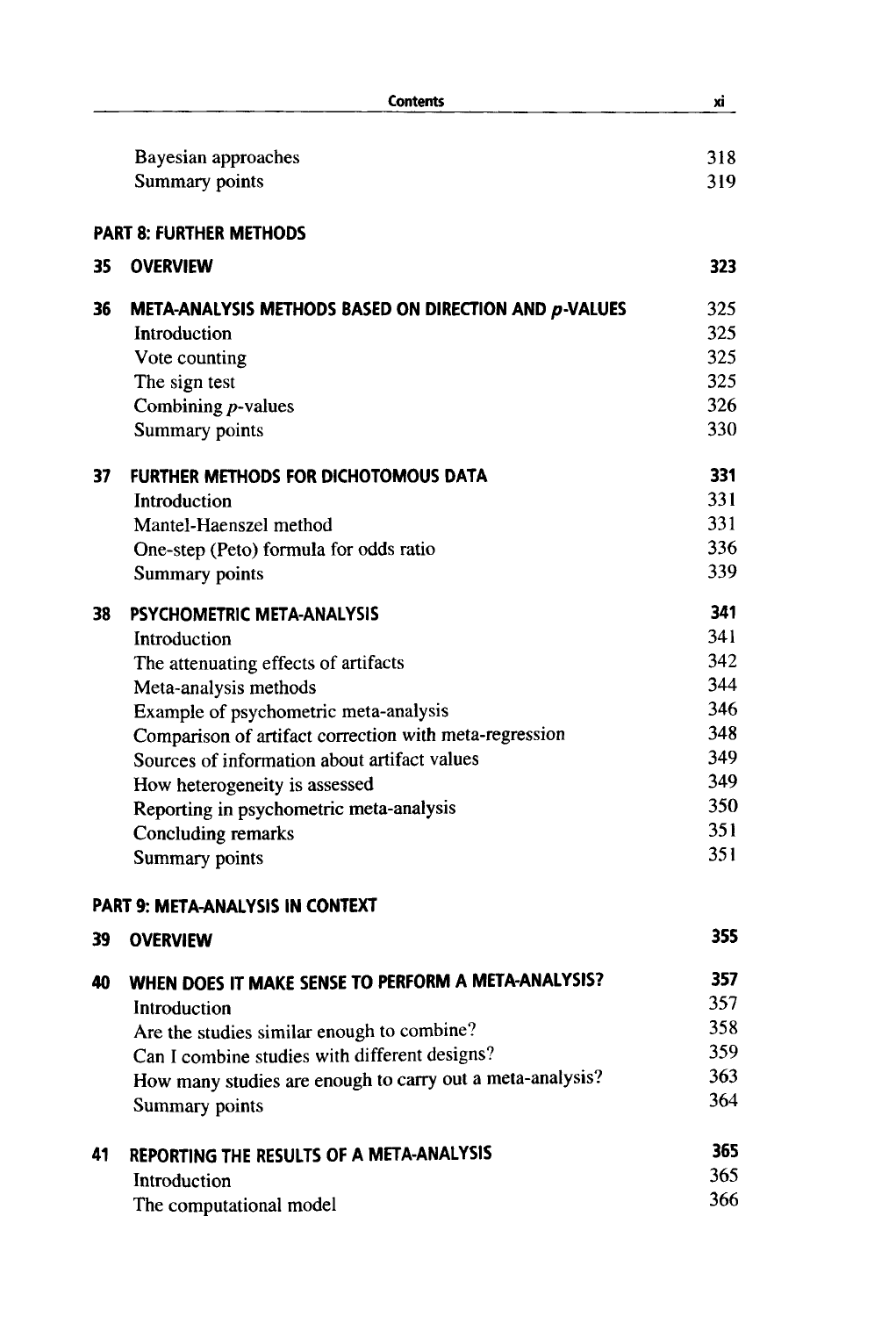|    | <b>Contents</b>                                           | xi  |
|----|-----------------------------------------------------------|-----|
|    |                                                           |     |
|    | Bayesian approaches                                       | 318 |
|    | <b>Summary points</b>                                     | 319 |
|    | <b>PART 8: FURTHER METHODS</b>                            |     |
| 35 | <b>OVERVIEW</b>                                           | 323 |
| 36 | META-ANALYSIS METHODS BASED ON DIRECTION AND $p$ -VALUES  | 325 |
|    | Introduction                                              | 325 |
|    | Vote counting                                             | 325 |
|    | The sign test                                             | 325 |
|    | Combining $p$ -values                                     | 326 |
|    | Summary points                                            | 330 |
| 37 | FURTHER METHODS FOR DICHOTOMOUS DATA                      | 331 |
|    | Introduction                                              | 331 |
|    | Mantel-Haenszel method                                    | 331 |
|    | One-step (Peto) formula for odds ratio                    | 336 |
|    | <b>Summary points</b>                                     | 339 |
| 38 | PSYCHOMETRIC META-ANALYSIS                                | 341 |
|    | Introduction                                              | 341 |
|    | The attenuating effects of artifacts                      | 342 |
|    | Meta-analysis methods                                     | 344 |
|    | Example of psychometric meta-analysis                     | 346 |
|    | Comparison of artifact correction with meta-regression    | 348 |
|    | Sources of information about artifact values              | 349 |
|    | How heterogeneity is assessed                             | 349 |
|    | Reporting in psychometric meta-analysis                   | 350 |
|    | Concluding remarks                                        | 351 |
|    | Summary points                                            | 351 |
|    | <b>PART 9: META-ANALYSIS IN CONTEXT</b>                   |     |
|    | 39 OVERVIEW                                               | 355 |
| 40 | WHEN DOES IT MAKE SENSE TO PERFORM A META-ANALYSIS?       | 357 |
|    | Introduction                                              | 357 |
|    | Are the studies similar enough to combine?                | 358 |
|    | Can I combine studies with different designs?             | 359 |
|    | How many studies are enough to carry out a meta-analysis? | 363 |
|    | Summary points                                            | 364 |
| 41 | REPORTING THE RESULTS OF A META-ANALYSIS                  | 365 |
|    | Introduction                                              | 365 |
|    | The computational model                                   | 366 |
|    |                                                           |     |